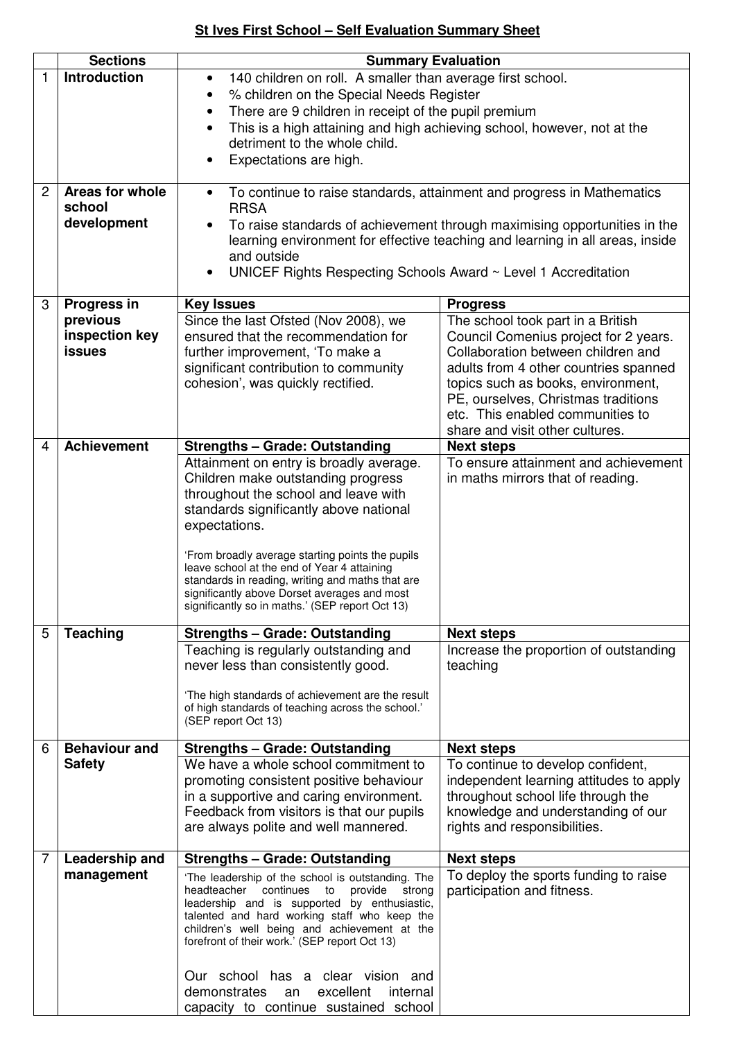## **St Ives First School – Self Evaluation Summary Sheet**

| <b>Introduction</b><br>1<br>140 children on roll. A smaller than average first school.<br>$\bullet$<br>% children on the Special Needs Register<br>There are 9 children in receipt of the pupil premium<br>$\bullet$<br>This is a high attaining and high achieving school, however, not at the<br>$\bullet$<br>detriment to the whole child.<br>Expectations are high.<br>Areas for whole<br>2<br>To continue to raise standards, attainment and progress in Mathematics<br>$\bullet$<br>school<br><b>RRSA</b><br>development<br>To raise standards of achievement through maximising opportunities in the<br>learning environment for effective teaching and learning in all areas, inside<br>and outside<br>UNICEF Rights Respecting Schools Award ~ Level 1 Accreditation<br>3<br><b>Progress in</b><br><b>Key Issues</b><br><b>Progress</b><br>previous<br>Since the last Ofsted (Nov 2008), we<br>The school took part in a British<br>inspection key<br>ensured that the recommendation for<br>Council Comenius project for 2 years.<br>Collaboration between children and<br><b>issues</b><br>further improvement, 'To make a<br>significant contribution to community<br>adults from 4 other countries spanned<br>cohesion', was quickly rectified.<br>topics such as books, environment,<br>PE, ourselves, Christmas traditions<br>etc. This enabled communities to<br>share and visit other cultures.<br><b>Achievement</b><br>4<br><b>Strengths - Grade: Outstanding</b><br><b>Next steps</b><br>To ensure attainment and achievement<br>Attainment on entry is broadly average.<br>Children make outstanding progress<br>in maths mirrors that of reading.<br>throughout the school and leave with<br>standards significantly above national<br>expectations.<br>'From broadly average starting points the pupils<br>leave school at the end of Year 4 attaining<br>standards in reading, writing and maths that are<br>significantly above Dorset averages and most<br>significantly so in maths.' (SEP report Oct 13)<br><b>Teaching</b><br><b>Strengths - Grade: Outstanding</b><br>5<br><b>Next steps</b><br>Increase the proportion of outstanding<br>Teaching is regularly outstanding and<br>never less than consistently good.<br>teaching<br>'The high standards of achievement are the result<br>of high standards of teaching across the school.'<br>(SEP report Oct 13)<br><b>Behaviour and</b><br><b>Strengths - Grade: Outstanding</b><br><b>Next steps</b><br>6<br>We have a whole school commitment to<br><b>Safety</b><br>To continue to develop confident,<br>independent learning attitudes to apply<br>promoting consistent positive behaviour<br>throughout school life through the<br>in a supportive and caring environment.<br>Feedback from visitors is that our pupils<br>knowledge and understanding of our<br>rights and responsibilities.<br>are always polite and well mannered.<br>Leadership and<br><b>Strengths - Grade: Outstanding</b><br>7<br><b>Next steps</b><br>To deploy the sports funding to raise<br>management<br>'The leadership of the school is outstanding. The<br>headteacher continues to<br>provide<br>participation and fitness.<br>strong<br>leadership and is supported by enthusiastic,<br>talented and hard working staff who keep the<br>children's well being and achievement at the<br>forefront of their work.' (SEP report Oct 13)<br>Our school has a clear vision and<br>excellent<br>demonstrates<br>internal<br>an | <b>Sections</b> | <b>Summary Evaluation</b>             |  |
|--------------------------------------------------------------------------------------------------------------------------------------------------------------------------------------------------------------------------------------------------------------------------------------------------------------------------------------------------------------------------------------------------------------------------------------------------------------------------------------------------------------------------------------------------------------------------------------------------------------------------------------------------------------------------------------------------------------------------------------------------------------------------------------------------------------------------------------------------------------------------------------------------------------------------------------------------------------------------------------------------------------------------------------------------------------------------------------------------------------------------------------------------------------------------------------------------------------------------------------------------------------------------------------------------------------------------------------------------------------------------------------------------------------------------------------------------------------------------------------------------------------------------------------------------------------------------------------------------------------------------------------------------------------------------------------------------------------------------------------------------------------------------------------------------------------------------------------------------------------------------------------------------------------------------------------------------------------------------------------------------------------------------------------------------------------------------------------------------------------------------------------------------------------------------------------------------------------------------------------------------------------------------------------------------------------------------------------------------------------------------------------------------------------------------------------------------------------------------------------------------------------------------------------------------------------------------------------------------------------------------------------------------------------------------------------------------------------------------------------------------------------------------------------------------------------------------------------------------------------------------------------------------------------------------------------------------------------------------------------------------------------------------------------------------------------------------------------------------------------------------------------------------------------------------------------------------------------------------------------------------------------------------------------------------------------------------------------------------------------------------------------------------------------------------------------------------------------------------------------------------|-----------------|---------------------------------------|--|
|                                                                                                                                                                                                                                                                                                                                                                                                                                                                                                                                                                                                                                                                                                                                                                                                                                                                                                                                                                                                                                                                                                                                                                                                                                                                                                                                                                                                                                                                                                                                                                                                                                                                                                                                                                                                                                                                                                                                                                                                                                                                                                                                                                                                                                                                                                                                                                                                                                                                                                                                                                                                                                                                                                                                                                                                                                                                                                                                                                                                                                                                                                                                                                                                                                                                                                                                                                                                                                                                                                  |                 |                                       |  |
|                                                                                                                                                                                                                                                                                                                                                                                                                                                                                                                                                                                                                                                                                                                                                                                                                                                                                                                                                                                                                                                                                                                                                                                                                                                                                                                                                                                                                                                                                                                                                                                                                                                                                                                                                                                                                                                                                                                                                                                                                                                                                                                                                                                                                                                                                                                                                                                                                                                                                                                                                                                                                                                                                                                                                                                                                                                                                                                                                                                                                                                                                                                                                                                                                                                                                                                                                                                                                                                                                                  |                 |                                       |  |
|                                                                                                                                                                                                                                                                                                                                                                                                                                                                                                                                                                                                                                                                                                                                                                                                                                                                                                                                                                                                                                                                                                                                                                                                                                                                                                                                                                                                                                                                                                                                                                                                                                                                                                                                                                                                                                                                                                                                                                                                                                                                                                                                                                                                                                                                                                                                                                                                                                                                                                                                                                                                                                                                                                                                                                                                                                                                                                                                                                                                                                                                                                                                                                                                                                                                                                                                                                                                                                                                                                  |                 |                                       |  |
|                                                                                                                                                                                                                                                                                                                                                                                                                                                                                                                                                                                                                                                                                                                                                                                                                                                                                                                                                                                                                                                                                                                                                                                                                                                                                                                                                                                                                                                                                                                                                                                                                                                                                                                                                                                                                                                                                                                                                                                                                                                                                                                                                                                                                                                                                                                                                                                                                                                                                                                                                                                                                                                                                                                                                                                                                                                                                                                                                                                                                                                                                                                                                                                                                                                                                                                                                                                                                                                                                                  |                 |                                       |  |
|                                                                                                                                                                                                                                                                                                                                                                                                                                                                                                                                                                                                                                                                                                                                                                                                                                                                                                                                                                                                                                                                                                                                                                                                                                                                                                                                                                                                                                                                                                                                                                                                                                                                                                                                                                                                                                                                                                                                                                                                                                                                                                                                                                                                                                                                                                                                                                                                                                                                                                                                                                                                                                                                                                                                                                                                                                                                                                                                                                                                                                                                                                                                                                                                                                                                                                                                                                                                                                                                                                  |                 |                                       |  |
|                                                                                                                                                                                                                                                                                                                                                                                                                                                                                                                                                                                                                                                                                                                                                                                                                                                                                                                                                                                                                                                                                                                                                                                                                                                                                                                                                                                                                                                                                                                                                                                                                                                                                                                                                                                                                                                                                                                                                                                                                                                                                                                                                                                                                                                                                                                                                                                                                                                                                                                                                                                                                                                                                                                                                                                                                                                                                                                                                                                                                                                                                                                                                                                                                                                                                                                                                                                                                                                                                                  |                 |                                       |  |
|                                                                                                                                                                                                                                                                                                                                                                                                                                                                                                                                                                                                                                                                                                                                                                                                                                                                                                                                                                                                                                                                                                                                                                                                                                                                                                                                                                                                                                                                                                                                                                                                                                                                                                                                                                                                                                                                                                                                                                                                                                                                                                                                                                                                                                                                                                                                                                                                                                                                                                                                                                                                                                                                                                                                                                                                                                                                                                                                                                                                                                                                                                                                                                                                                                                                                                                                                                                                                                                                                                  |                 |                                       |  |
|                                                                                                                                                                                                                                                                                                                                                                                                                                                                                                                                                                                                                                                                                                                                                                                                                                                                                                                                                                                                                                                                                                                                                                                                                                                                                                                                                                                                                                                                                                                                                                                                                                                                                                                                                                                                                                                                                                                                                                                                                                                                                                                                                                                                                                                                                                                                                                                                                                                                                                                                                                                                                                                                                                                                                                                                                                                                                                                                                                                                                                                                                                                                                                                                                                                                                                                                                                                                                                                                                                  |                 |                                       |  |
|                                                                                                                                                                                                                                                                                                                                                                                                                                                                                                                                                                                                                                                                                                                                                                                                                                                                                                                                                                                                                                                                                                                                                                                                                                                                                                                                                                                                                                                                                                                                                                                                                                                                                                                                                                                                                                                                                                                                                                                                                                                                                                                                                                                                                                                                                                                                                                                                                                                                                                                                                                                                                                                                                                                                                                                                                                                                                                                                                                                                                                                                                                                                                                                                                                                                                                                                                                                                                                                                                                  |                 |                                       |  |
|                                                                                                                                                                                                                                                                                                                                                                                                                                                                                                                                                                                                                                                                                                                                                                                                                                                                                                                                                                                                                                                                                                                                                                                                                                                                                                                                                                                                                                                                                                                                                                                                                                                                                                                                                                                                                                                                                                                                                                                                                                                                                                                                                                                                                                                                                                                                                                                                                                                                                                                                                                                                                                                                                                                                                                                                                                                                                                                                                                                                                                                                                                                                                                                                                                                                                                                                                                                                                                                                                                  |                 |                                       |  |
|                                                                                                                                                                                                                                                                                                                                                                                                                                                                                                                                                                                                                                                                                                                                                                                                                                                                                                                                                                                                                                                                                                                                                                                                                                                                                                                                                                                                                                                                                                                                                                                                                                                                                                                                                                                                                                                                                                                                                                                                                                                                                                                                                                                                                                                                                                                                                                                                                                                                                                                                                                                                                                                                                                                                                                                                                                                                                                                                                                                                                                                                                                                                                                                                                                                                                                                                                                                                                                                                                                  |                 |                                       |  |
|                                                                                                                                                                                                                                                                                                                                                                                                                                                                                                                                                                                                                                                                                                                                                                                                                                                                                                                                                                                                                                                                                                                                                                                                                                                                                                                                                                                                                                                                                                                                                                                                                                                                                                                                                                                                                                                                                                                                                                                                                                                                                                                                                                                                                                                                                                                                                                                                                                                                                                                                                                                                                                                                                                                                                                                                                                                                                                                                                                                                                                                                                                                                                                                                                                                                                                                                                                                                                                                                                                  |                 |                                       |  |
|                                                                                                                                                                                                                                                                                                                                                                                                                                                                                                                                                                                                                                                                                                                                                                                                                                                                                                                                                                                                                                                                                                                                                                                                                                                                                                                                                                                                                                                                                                                                                                                                                                                                                                                                                                                                                                                                                                                                                                                                                                                                                                                                                                                                                                                                                                                                                                                                                                                                                                                                                                                                                                                                                                                                                                                                                                                                                                                                                                                                                                                                                                                                                                                                                                                                                                                                                                                                                                                                                                  |                 |                                       |  |
|                                                                                                                                                                                                                                                                                                                                                                                                                                                                                                                                                                                                                                                                                                                                                                                                                                                                                                                                                                                                                                                                                                                                                                                                                                                                                                                                                                                                                                                                                                                                                                                                                                                                                                                                                                                                                                                                                                                                                                                                                                                                                                                                                                                                                                                                                                                                                                                                                                                                                                                                                                                                                                                                                                                                                                                                                                                                                                                                                                                                                                                                                                                                                                                                                                                                                                                                                                                                                                                                                                  |                 |                                       |  |
|                                                                                                                                                                                                                                                                                                                                                                                                                                                                                                                                                                                                                                                                                                                                                                                                                                                                                                                                                                                                                                                                                                                                                                                                                                                                                                                                                                                                                                                                                                                                                                                                                                                                                                                                                                                                                                                                                                                                                                                                                                                                                                                                                                                                                                                                                                                                                                                                                                                                                                                                                                                                                                                                                                                                                                                                                                                                                                                                                                                                                                                                                                                                                                                                                                                                                                                                                                                                                                                                                                  |                 |                                       |  |
|                                                                                                                                                                                                                                                                                                                                                                                                                                                                                                                                                                                                                                                                                                                                                                                                                                                                                                                                                                                                                                                                                                                                                                                                                                                                                                                                                                                                                                                                                                                                                                                                                                                                                                                                                                                                                                                                                                                                                                                                                                                                                                                                                                                                                                                                                                                                                                                                                                                                                                                                                                                                                                                                                                                                                                                                                                                                                                                                                                                                                                                                                                                                                                                                                                                                                                                                                                                                                                                                                                  |                 |                                       |  |
|                                                                                                                                                                                                                                                                                                                                                                                                                                                                                                                                                                                                                                                                                                                                                                                                                                                                                                                                                                                                                                                                                                                                                                                                                                                                                                                                                                                                                                                                                                                                                                                                                                                                                                                                                                                                                                                                                                                                                                                                                                                                                                                                                                                                                                                                                                                                                                                                                                                                                                                                                                                                                                                                                                                                                                                                                                                                                                                                                                                                                                                                                                                                                                                                                                                                                                                                                                                                                                                                                                  |                 |                                       |  |
|                                                                                                                                                                                                                                                                                                                                                                                                                                                                                                                                                                                                                                                                                                                                                                                                                                                                                                                                                                                                                                                                                                                                                                                                                                                                                                                                                                                                                                                                                                                                                                                                                                                                                                                                                                                                                                                                                                                                                                                                                                                                                                                                                                                                                                                                                                                                                                                                                                                                                                                                                                                                                                                                                                                                                                                                                                                                                                                                                                                                                                                                                                                                                                                                                                                                                                                                                                                                                                                                                                  |                 |                                       |  |
|                                                                                                                                                                                                                                                                                                                                                                                                                                                                                                                                                                                                                                                                                                                                                                                                                                                                                                                                                                                                                                                                                                                                                                                                                                                                                                                                                                                                                                                                                                                                                                                                                                                                                                                                                                                                                                                                                                                                                                                                                                                                                                                                                                                                                                                                                                                                                                                                                                                                                                                                                                                                                                                                                                                                                                                                                                                                                                                                                                                                                                                                                                                                                                                                                                                                                                                                                                                                                                                                                                  |                 |                                       |  |
|                                                                                                                                                                                                                                                                                                                                                                                                                                                                                                                                                                                                                                                                                                                                                                                                                                                                                                                                                                                                                                                                                                                                                                                                                                                                                                                                                                                                                                                                                                                                                                                                                                                                                                                                                                                                                                                                                                                                                                                                                                                                                                                                                                                                                                                                                                                                                                                                                                                                                                                                                                                                                                                                                                                                                                                                                                                                                                                                                                                                                                                                                                                                                                                                                                                                                                                                                                                                                                                                                                  |                 |                                       |  |
|                                                                                                                                                                                                                                                                                                                                                                                                                                                                                                                                                                                                                                                                                                                                                                                                                                                                                                                                                                                                                                                                                                                                                                                                                                                                                                                                                                                                                                                                                                                                                                                                                                                                                                                                                                                                                                                                                                                                                                                                                                                                                                                                                                                                                                                                                                                                                                                                                                                                                                                                                                                                                                                                                                                                                                                                                                                                                                                                                                                                                                                                                                                                                                                                                                                                                                                                                                                                                                                                                                  |                 |                                       |  |
|                                                                                                                                                                                                                                                                                                                                                                                                                                                                                                                                                                                                                                                                                                                                                                                                                                                                                                                                                                                                                                                                                                                                                                                                                                                                                                                                                                                                                                                                                                                                                                                                                                                                                                                                                                                                                                                                                                                                                                                                                                                                                                                                                                                                                                                                                                                                                                                                                                                                                                                                                                                                                                                                                                                                                                                                                                                                                                                                                                                                                                                                                                                                                                                                                                                                                                                                                                                                                                                                                                  |                 |                                       |  |
|                                                                                                                                                                                                                                                                                                                                                                                                                                                                                                                                                                                                                                                                                                                                                                                                                                                                                                                                                                                                                                                                                                                                                                                                                                                                                                                                                                                                                                                                                                                                                                                                                                                                                                                                                                                                                                                                                                                                                                                                                                                                                                                                                                                                                                                                                                                                                                                                                                                                                                                                                                                                                                                                                                                                                                                                                                                                                                                                                                                                                                                                                                                                                                                                                                                                                                                                                                                                                                                                                                  |                 |                                       |  |
|                                                                                                                                                                                                                                                                                                                                                                                                                                                                                                                                                                                                                                                                                                                                                                                                                                                                                                                                                                                                                                                                                                                                                                                                                                                                                                                                                                                                                                                                                                                                                                                                                                                                                                                                                                                                                                                                                                                                                                                                                                                                                                                                                                                                                                                                                                                                                                                                                                                                                                                                                                                                                                                                                                                                                                                                                                                                                                                                                                                                                                                                                                                                                                                                                                                                                                                                                                                                                                                                                                  |                 |                                       |  |
|                                                                                                                                                                                                                                                                                                                                                                                                                                                                                                                                                                                                                                                                                                                                                                                                                                                                                                                                                                                                                                                                                                                                                                                                                                                                                                                                                                                                                                                                                                                                                                                                                                                                                                                                                                                                                                                                                                                                                                                                                                                                                                                                                                                                                                                                                                                                                                                                                                                                                                                                                                                                                                                                                                                                                                                                                                                                                                                                                                                                                                                                                                                                                                                                                                                                                                                                                                                                                                                                                                  |                 |                                       |  |
|                                                                                                                                                                                                                                                                                                                                                                                                                                                                                                                                                                                                                                                                                                                                                                                                                                                                                                                                                                                                                                                                                                                                                                                                                                                                                                                                                                                                                                                                                                                                                                                                                                                                                                                                                                                                                                                                                                                                                                                                                                                                                                                                                                                                                                                                                                                                                                                                                                                                                                                                                                                                                                                                                                                                                                                                                                                                                                                                                                                                                                                                                                                                                                                                                                                                                                                                                                                                                                                                                                  |                 |                                       |  |
|                                                                                                                                                                                                                                                                                                                                                                                                                                                                                                                                                                                                                                                                                                                                                                                                                                                                                                                                                                                                                                                                                                                                                                                                                                                                                                                                                                                                                                                                                                                                                                                                                                                                                                                                                                                                                                                                                                                                                                                                                                                                                                                                                                                                                                                                                                                                                                                                                                                                                                                                                                                                                                                                                                                                                                                                                                                                                                                                                                                                                                                                                                                                                                                                                                                                                                                                                                                                                                                                                                  |                 |                                       |  |
|                                                                                                                                                                                                                                                                                                                                                                                                                                                                                                                                                                                                                                                                                                                                                                                                                                                                                                                                                                                                                                                                                                                                                                                                                                                                                                                                                                                                                                                                                                                                                                                                                                                                                                                                                                                                                                                                                                                                                                                                                                                                                                                                                                                                                                                                                                                                                                                                                                                                                                                                                                                                                                                                                                                                                                                                                                                                                                                                                                                                                                                                                                                                                                                                                                                                                                                                                                                                                                                                                                  |                 |                                       |  |
|                                                                                                                                                                                                                                                                                                                                                                                                                                                                                                                                                                                                                                                                                                                                                                                                                                                                                                                                                                                                                                                                                                                                                                                                                                                                                                                                                                                                                                                                                                                                                                                                                                                                                                                                                                                                                                                                                                                                                                                                                                                                                                                                                                                                                                                                                                                                                                                                                                                                                                                                                                                                                                                                                                                                                                                                                                                                                                                                                                                                                                                                                                                                                                                                                                                                                                                                                                                                                                                                                                  |                 |                                       |  |
|                                                                                                                                                                                                                                                                                                                                                                                                                                                                                                                                                                                                                                                                                                                                                                                                                                                                                                                                                                                                                                                                                                                                                                                                                                                                                                                                                                                                                                                                                                                                                                                                                                                                                                                                                                                                                                                                                                                                                                                                                                                                                                                                                                                                                                                                                                                                                                                                                                                                                                                                                                                                                                                                                                                                                                                                                                                                                                                                                                                                                                                                                                                                                                                                                                                                                                                                                                                                                                                                                                  |                 |                                       |  |
|                                                                                                                                                                                                                                                                                                                                                                                                                                                                                                                                                                                                                                                                                                                                                                                                                                                                                                                                                                                                                                                                                                                                                                                                                                                                                                                                                                                                                                                                                                                                                                                                                                                                                                                                                                                                                                                                                                                                                                                                                                                                                                                                                                                                                                                                                                                                                                                                                                                                                                                                                                                                                                                                                                                                                                                                                                                                                                                                                                                                                                                                                                                                                                                                                                                                                                                                                                                                                                                                                                  |                 |                                       |  |
|                                                                                                                                                                                                                                                                                                                                                                                                                                                                                                                                                                                                                                                                                                                                                                                                                                                                                                                                                                                                                                                                                                                                                                                                                                                                                                                                                                                                                                                                                                                                                                                                                                                                                                                                                                                                                                                                                                                                                                                                                                                                                                                                                                                                                                                                                                                                                                                                                                                                                                                                                                                                                                                                                                                                                                                                                                                                                                                                                                                                                                                                                                                                                                                                                                                                                                                                                                                                                                                                                                  |                 |                                       |  |
|                                                                                                                                                                                                                                                                                                                                                                                                                                                                                                                                                                                                                                                                                                                                                                                                                                                                                                                                                                                                                                                                                                                                                                                                                                                                                                                                                                                                                                                                                                                                                                                                                                                                                                                                                                                                                                                                                                                                                                                                                                                                                                                                                                                                                                                                                                                                                                                                                                                                                                                                                                                                                                                                                                                                                                                                                                                                                                                                                                                                                                                                                                                                                                                                                                                                                                                                                                                                                                                                                                  |                 |                                       |  |
|                                                                                                                                                                                                                                                                                                                                                                                                                                                                                                                                                                                                                                                                                                                                                                                                                                                                                                                                                                                                                                                                                                                                                                                                                                                                                                                                                                                                                                                                                                                                                                                                                                                                                                                                                                                                                                                                                                                                                                                                                                                                                                                                                                                                                                                                                                                                                                                                                                                                                                                                                                                                                                                                                                                                                                                                                                                                                                                                                                                                                                                                                                                                                                                                                                                                                                                                                                                                                                                                                                  |                 |                                       |  |
|                                                                                                                                                                                                                                                                                                                                                                                                                                                                                                                                                                                                                                                                                                                                                                                                                                                                                                                                                                                                                                                                                                                                                                                                                                                                                                                                                                                                                                                                                                                                                                                                                                                                                                                                                                                                                                                                                                                                                                                                                                                                                                                                                                                                                                                                                                                                                                                                                                                                                                                                                                                                                                                                                                                                                                                                                                                                                                                                                                                                                                                                                                                                                                                                                                                                                                                                                                                                                                                                                                  |                 |                                       |  |
|                                                                                                                                                                                                                                                                                                                                                                                                                                                                                                                                                                                                                                                                                                                                                                                                                                                                                                                                                                                                                                                                                                                                                                                                                                                                                                                                                                                                                                                                                                                                                                                                                                                                                                                                                                                                                                                                                                                                                                                                                                                                                                                                                                                                                                                                                                                                                                                                                                                                                                                                                                                                                                                                                                                                                                                                                                                                                                                                                                                                                                                                                                                                                                                                                                                                                                                                                                                                                                                                                                  |                 |                                       |  |
|                                                                                                                                                                                                                                                                                                                                                                                                                                                                                                                                                                                                                                                                                                                                                                                                                                                                                                                                                                                                                                                                                                                                                                                                                                                                                                                                                                                                                                                                                                                                                                                                                                                                                                                                                                                                                                                                                                                                                                                                                                                                                                                                                                                                                                                                                                                                                                                                                                                                                                                                                                                                                                                                                                                                                                                                                                                                                                                                                                                                                                                                                                                                                                                                                                                                                                                                                                                                                                                                                                  |                 |                                       |  |
|                                                                                                                                                                                                                                                                                                                                                                                                                                                                                                                                                                                                                                                                                                                                                                                                                                                                                                                                                                                                                                                                                                                                                                                                                                                                                                                                                                                                                                                                                                                                                                                                                                                                                                                                                                                                                                                                                                                                                                                                                                                                                                                                                                                                                                                                                                                                                                                                                                                                                                                                                                                                                                                                                                                                                                                                                                                                                                                                                                                                                                                                                                                                                                                                                                                                                                                                                                                                                                                                                                  |                 |                                       |  |
|                                                                                                                                                                                                                                                                                                                                                                                                                                                                                                                                                                                                                                                                                                                                                                                                                                                                                                                                                                                                                                                                                                                                                                                                                                                                                                                                                                                                                                                                                                                                                                                                                                                                                                                                                                                                                                                                                                                                                                                                                                                                                                                                                                                                                                                                                                                                                                                                                                                                                                                                                                                                                                                                                                                                                                                                                                                                                                                                                                                                                                                                                                                                                                                                                                                                                                                                                                                                                                                                                                  |                 |                                       |  |
|                                                                                                                                                                                                                                                                                                                                                                                                                                                                                                                                                                                                                                                                                                                                                                                                                                                                                                                                                                                                                                                                                                                                                                                                                                                                                                                                                                                                                                                                                                                                                                                                                                                                                                                                                                                                                                                                                                                                                                                                                                                                                                                                                                                                                                                                                                                                                                                                                                                                                                                                                                                                                                                                                                                                                                                                                                                                                                                                                                                                                                                                                                                                                                                                                                                                                                                                                                                                                                                                                                  |                 |                                       |  |
|                                                                                                                                                                                                                                                                                                                                                                                                                                                                                                                                                                                                                                                                                                                                                                                                                                                                                                                                                                                                                                                                                                                                                                                                                                                                                                                                                                                                                                                                                                                                                                                                                                                                                                                                                                                                                                                                                                                                                                                                                                                                                                                                                                                                                                                                                                                                                                                                                                                                                                                                                                                                                                                                                                                                                                                                                                                                                                                                                                                                                                                                                                                                                                                                                                                                                                                                                                                                                                                                                                  |                 |                                       |  |
|                                                                                                                                                                                                                                                                                                                                                                                                                                                                                                                                                                                                                                                                                                                                                                                                                                                                                                                                                                                                                                                                                                                                                                                                                                                                                                                                                                                                                                                                                                                                                                                                                                                                                                                                                                                                                                                                                                                                                                                                                                                                                                                                                                                                                                                                                                                                                                                                                                                                                                                                                                                                                                                                                                                                                                                                                                                                                                                                                                                                                                                                                                                                                                                                                                                                                                                                                                                                                                                                                                  |                 |                                       |  |
|                                                                                                                                                                                                                                                                                                                                                                                                                                                                                                                                                                                                                                                                                                                                                                                                                                                                                                                                                                                                                                                                                                                                                                                                                                                                                                                                                                                                                                                                                                                                                                                                                                                                                                                                                                                                                                                                                                                                                                                                                                                                                                                                                                                                                                                                                                                                                                                                                                                                                                                                                                                                                                                                                                                                                                                                                                                                                                                                                                                                                                                                                                                                                                                                                                                                                                                                                                                                                                                                                                  |                 |                                       |  |
|                                                                                                                                                                                                                                                                                                                                                                                                                                                                                                                                                                                                                                                                                                                                                                                                                                                                                                                                                                                                                                                                                                                                                                                                                                                                                                                                                                                                                                                                                                                                                                                                                                                                                                                                                                                                                                                                                                                                                                                                                                                                                                                                                                                                                                                                                                                                                                                                                                                                                                                                                                                                                                                                                                                                                                                                                                                                                                                                                                                                                                                                                                                                                                                                                                                                                                                                                                                                                                                                                                  |                 |                                       |  |
|                                                                                                                                                                                                                                                                                                                                                                                                                                                                                                                                                                                                                                                                                                                                                                                                                                                                                                                                                                                                                                                                                                                                                                                                                                                                                                                                                                                                                                                                                                                                                                                                                                                                                                                                                                                                                                                                                                                                                                                                                                                                                                                                                                                                                                                                                                                                                                                                                                                                                                                                                                                                                                                                                                                                                                                                                                                                                                                                                                                                                                                                                                                                                                                                                                                                                                                                                                                                                                                                                                  |                 |                                       |  |
|                                                                                                                                                                                                                                                                                                                                                                                                                                                                                                                                                                                                                                                                                                                                                                                                                                                                                                                                                                                                                                                                                                                                                                                                                                                                                                                                                                                                                                                                                                                                                                                                                                                                                                                                                                                                                                                                                                                                                                                                                                                                                                                                                                                                                                                                                                                                                                                                                                                                                                                                                                                                                                                                                                                                                                                                                                                                                                                                                                                                                                                                                                                                                                                                                                                                                                                                                                                                                                                                                                  |                 |                                       |  |
|                                                                                                                                                                                                                                                                                                                                                                                                                                                                                                                                                                                                                                                                                                                                                                                                                                                                                                                                                                                                                                                                                                                                                                                                                                                                                                                                                                                                                                                                                                                                                                                                                                                                                                                                                                                                                                                                                                                                                                                                                                                                                                                                                                                                                                                                                                                                                                                                                                                                                                                                                                                                                                                                                                                                                                                                                                                                                                                                                                                                                                                                                                                                                                                                                                                                                                                                                                                                                                                                                                  |                 |                                       |  |
|                                                                                                                                                                                                                                                                                                                                                                                                                                                                                                                                                                                                                                                                                                                                                                                                                                                                                                                                                                                                                                                                                                                                                                                                                                                                                                                                                                                                                                                                                                                                                                                                                                                                                                                                                                                                                                                                                                                                                                                                                                                                                                                                                                                                                                                                                                                                                                                                                                                                                                                                                                                                                                                                                                                                                                                                                                                                                                                                                                                                                                                                                                                                                                                                                                                                                                                                                                                                                                                                                                  |                 |                                       |  |
|                                                                                                                                                                                                                                                                                                                                                                                                                                                                                                                                                                                                                                                                                                                                                                                                                                                                                                                                                                                                                                                                                                                                                                                                                                                                                                                                                                                                                                                                                                                                                                                                                                                                                                                                                                                                                                                                                                                                                                                                                                                                                                                                                                                                                                                                                                                                                                                                                                                                                                                                                                                                                                                                                                                                                                                                                                                                                                                                                                                                                                                                                                                                                                                                                                                                                                                                                                                                                                                                                                  |                 |                                       |  |
|                                                                                                                                                                                                                                                                                                                                                                                                                                                                                                                                                                                                                                                                                                                                                                                                                                                                                                                                                                                                                                                                                                                                                                                                                                                                                                                                                                                                                                                                                                                                                                                                                                                                                                                                                                                                                                                                                                                                                                                                                                                                                                                                                                                                                                                                                                                                                                                                                                                                                                                                                                                                                                                                                                                                                                                                                                                                                                                                                                                                                                                                                                                                                                                                                                                                                                                                                                                                                                                                                                  |                 |                                       |  |
|                                                                                                                                                                                                                                                                                                                                                                                                                                                                                                                                                                                                                                                                                                                                                                                                                                                                                                                                                                                                                                                                                                                                                                                                                                                                                                                                                                                                                                                                                                                                                                                                                                                                                                                                                                                                                                                                                                                                                                                                                                                                                                                                                                                                                                                                                                                                                                                                                                                                                                                                                                                                                                                                                                                                                                                                                                                                                                                                                                                                                                                                                                                                                                                                                                                                                                                                                                                                                                                                                                  |                 | capacity to continue sustained school |  |